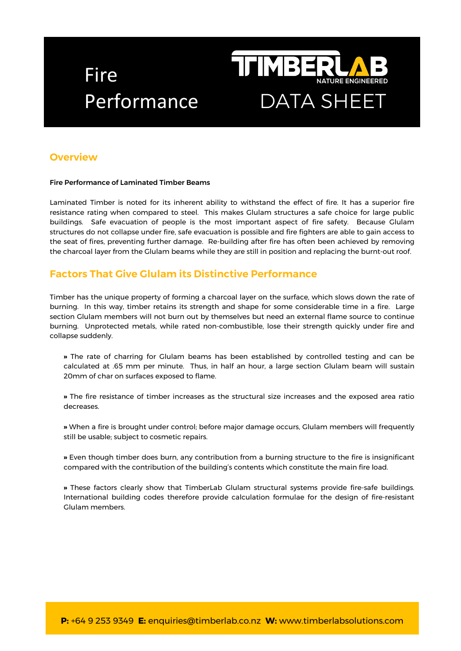# Fire



# **Overview**

### Fire Performance of Laminated Timber Beams

Laminated Timber is noted for its inherent ability to withstand the effect of fire. It has a superior fire resistance rating when compared to steel. This makes Glulam structures a safe choice for large public buildings. Safe evacuation of people is the most important aspect of fire safety. Because Glulam structures do not collapse under fire, safe evacuation is possible and fire fighters are able to gain access to the seat of fires, preventing further damage. Re-building after fire has often been achieved by removing the charcoal layer from the Glulam beams while they are still in position and replacing the burnt-out roof.

### **Factors That Give Glulam its Distinctive Performance**

Timber has the unique property of forming a charcoal layer on the surface, which slows down the rate of burning. In this way, timber retains its strength and shape for some considerable time in a fire. Large section Glulam members will not burn out by themselves but need an external flame source to continue burning. Unprotected metals, while rated non-combustible, lose their strength quickly under fire and collapse suddenly.

**»** The rate of charring for Glulam beams has been established by controlled testing and can be calculated at .65 mm per minute. Thus, in half an hour, a large section Glulam beam will sustain 20mm of char on surfaces exposed to flame.

**»** The fire resistance of timber increases as the structural size increases and the exposed area ratio decreases.

**»** When a fire is brought under control; before major damage occurs, Glulam members will frequently still be usable; subject to cosmetic repairs.

**»** Even though timber does burn, any contribution from a burning structure to the fire is insignificant compared with the contribution of the building's contents which constitute the main fire load.

**»** These factors clearly show that TimberLab Glulam structural systems provide fire-safe buildings. International building codes therefore provide calculation formulae for the design of fire-resistant Glulam members.